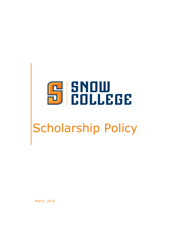

# Scholarship Policy

March, 2016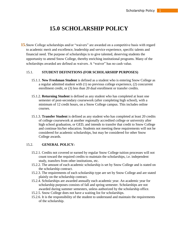# **15.0 SCHOLARSHIP POLICY**

**15.**Snow College scholarships and/or "waivers" are awarded on a competitive basis with regard to academic merit and excellence, leadership and service experience, specific talents and financial need. The purpose of scholarships is to give talented, deserving students the opportunity to attend Snow College, thereby enriching institutional programs. Many of the scholarships awarded are defined as waivers. A "waiver" has no cash value.

# 15.1. **STUDENT DEFINITIONS (FOR SCHOLARSHIP PURPOSES)**

- 15.1.1. **New Freshman Student** is defined as a student who is entering Snow College as a regular admitted student with (1) no previous college experience, (2) concurrent enrollment credit, or (3) less than 20 dual enrollment or transfer credits.
- 15.1.2. **Returning Student** is defined as any student who has completed at least one semester of post-secondary coursework (after completing high school), with a minimum of 12 credit hours, on a Snow College campus. This includes online courses.
- 15.1.3. **Transfer Student** is defined as any student who has completed at least 20 credits of college coursework at another regionally accredited college or university after high school graduation, or GED, and intends to transfer that credit to Snow College and continue his/her education. Students not meeting these requirements will not be considered for academic scholarships, but may be considered for other Snow College awards.

# 15.2. **GENERAL POLICY:**

- 15.2.1. Credits not covered or earned by regular Snow College tuition processes will not count toward the required credits to maintain the scholarships, i.e. independent study, transfers from other institutions, etc.
- 15.2.2. The amount of each academic scholarship is set by Snow College and is stated on the scholarship contract.
- 15.2.3. The requirements of each scholarship type are set by Snow College and are stated plainly on the scholarship contract.
- 15.2.4. Scholarships are awarded annually each academic year. An academic year for scholarship purposes consists of fall and spring semester. Scholarships are not awarded during summer semesters, unless authorized by the scholarship office.
- 15.2.5. Snow College does not have a waiting list for scholarships.
- 15.2.6. It is the responsibility of the student to understand and maintain the requirements of the scholarship.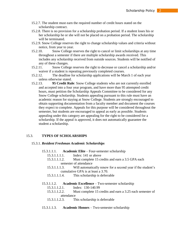- 15.2.7. The student must earn the required number of credit hours stated on the scholarship contract.
- 15.2.8. There is no provision for a scholarship probation period. If a student loses his or her scholarship he or she will not be placed on a probation period. The scholarship will be terminated.
- 15.2.9. Snow College reserves the right to change scholarship values and criteria without notice, from year to year.
- 15.2.10. Snow College reserves the right to cancel or limit scholarships at any time throughout a semester if there are multiple scholarship awards received. This includes any scholarship received from outside sources. Students will be notified of any of these changes.
- 15.2.11. Snow College reserves the right to decrease or cancel a scholarship and/or waiver if a student is repeating previously completed courses.
- 15.2.12. The deadline for scholarship applications will be March 1 of each year unless otherwise stated.
- 15.2.13. **95 Credit Rule**: Snow College students who are not currently enrolled and accepted into a four year program, and have more than 95 attempted credit hours, must petition the Scholarship Appeals Committee to be considered for any Snow College scholarship. Students appealing pursuant to this rule must have an academic reason for staying at Snow College. Students are strongly encouraged to obtain supporting documentation from a faculty member and document the courses they expect to complete. Appeals for this purpose will be considered throughout the semester, but students are encouraged to appeal as early as possible. Students appealing under this category are appealing for the right to be considered for a scholarship. If the appeal is approved, it does not automatically guarantee the student a scholarship.

# 15.3. **TYPES OF SCHOLARSHIPS**

#### 15.3.1. *Resident Freshman Academic Scholarships*

- 15.3.1.1.1. **Academic Elite** Four-semester scholarship
	- 15.3.1.1.1.1. Index: 141 or above
	- 15.3.1.1.1.2. Must complete 15 credits and earn a 3.5 GPA each semester of attendance
	- 15.3.1.1.1.3. Will automatically renew for a second year if the student's cumulative GPA is at least a 3.70.
	- 15.3.1.1.1.4. This scholarship is deferrable

#### 15.3.1.1.2. **Academic Excellence** – Two-semester scholarship

- 15.3.1.1.2.1. Index: 130-140.99
- 15.3.1.1.2.2. Must complete 15 credits and earn a 3.25 each semester of attendance
- 15.3.1.1.2.3. This scholarship is deferrable
- 15.3.1.1.3. **Academic Honors** Two-semester scholarship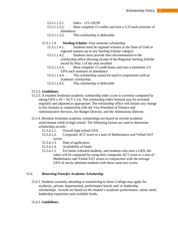- 15.3.1.1.3.1. Index: 115-129.99
- 15.3.1.1.3.2. Must complete 15 credits and earn a 3.25 each semester of attendance
- 15.3.1.1.3.3. This scholarship is deferrable
- 15.3.1.1.4. **Sterling Scholar-** Four semester scholarship
	- 15.3.1.1.4.1. Students must be regional winners in the State of Utah or regional runners-up in any Sterling Scholar category
	- 15.3.1.1.4.2. Students must provide their documentation to the scholarship office showing receipt of the Regional Sterling Scholar award by May 1 of the year awarded
	- 15.3.1.1.4.3. Must complete 15 credit hours and earn a minimum 3.5 GPA each semester of attendance
	- 15.3.1.1.4.4. This scholarship cannot be used in conjunction with an academic scholarship
	- 15.3.1.1.4.5. This scholarship is deferrable

# 15.3.2. **Guidelines:**

- 15.3.3. A resident freshman academic scholarship index score is currently computed by taking GPA x  $20 + ACT$  x 2.6. The scholarship index formula may be revisited regularly and adjusted as appropriate. The scholarship office will initiate any change in this formula in conjunction with the Vice President of Finance and Administrative Services, the Budget Director, and the Admissions Director.
- 15.3.4. Resident freshmen academic scholarships are based on overall academic achievement while in high school. The following factors are used to determine scholarship awards:
	- 15.3.4.1.1. Overall high school GPA
	- 15.3.4.1.2. Composite ACT score or a sum of Mathematics and Verbal SAT scores
	- 15.3.4.1.3. Date of application
	- 15.3.4.1.4. Availability of funds
	- 15.3.4.1.5. For home schooled students, and students who earn a GED, the index will be computed by using their composite ACT score or a sum of Mathematics and Verbal SAT scores in conjunction with the average GPA of newly admitted students with those same test scores.

# 15.4. *Returning/Transfer Academic Scholarship*

15.4.1. Students currently attending or transferring to Snow College may apply for academic, private, departmental, performance based, and/ or leadership scholarships. Awards are based on the student's academic performance, talent, need, leadership experience and available funds.

#### 15.4.2. **Guidelines:**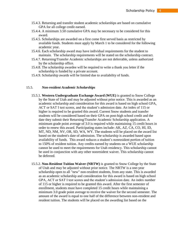- 15.4.3. Returning and transfer student academic scholarships are based on cumulative GPA for all college credit earned.
- 15.4.4. A minimum 3.50 cumulative GPA may be necessary to be considered for this award.
- 15.4.5. Scholarships are awarded on a first come first served basis as restricted by available funds. Students must apply by March 1 to be considered for the following academic year.
- 15.4.6. Each scholarship award may have individual requirements for the student to maintain. The scholarship requirements will be stated on the scholarship contract.
- 15.4.7. Returning/Transfer Academic scholarships are not deferrable, unless authorized by the scholarship office.
- 15.4.8. The scholarship awardee will be required to write a thank you letter if the scholarship is funded by a private account.
- 15.4.9. Scholarship awards will be limited due to availability of funds.

#### 15.5. *Non-resident Academic Scholarships*

- 15.5.1. **Western Undergraduate Exchange Award (WUE)** is granted to Snow College by the State of Utah and may be adjusted without prior notice. This is awarded as an academic scholarship and consideration for this award is based on high school GPA, ACT or SAT I test scores, and the student's admission date. An index of 115 or higher is required to be granted this award. Current Snow students and transfer students will be considered based on their GPA on post-high school credit and the date they submit their Returning/Transfer Academic Scholarship application. A minimum grade point average of 3.0 is required while maintaining 15 credit hours in order to renew this award. Participating states include: AK, AZ, CA, CO, HI, ID, MT, ND, NM, NV, OR, SD, WA, WY. The students will be placed on the award list based on the student's date of admission. The scholarship is awarded based upon availability of funds. This award reduces a student's nonresident portion of tuition to 150% of resident tuition. Any credits earned by students on a WUE scholarship cannot be used to meet the requirements for Utah residency. This scholarship cannot be used in conjunction with any other nonresident waiver. This scholarship cannot be deferred.
- 15.5.2. **Non-Resident Tuition Waiver (NRTW)** is granted to Snow College by the State of Utah and may be adjusted without prior notice. The NRTW is a one-year scholarship open to all "new" non-resident students, from any state. This is awarded as an academic scholarship and consideration for this award is based on high school GPA, ACT or SAT I test scores and the student's admission date. An index number of 115 or higher is required to be granted this award. After the first semester of enrollment, students must have completed 15 credit hours while maintaining a minimum 3.0 grade point average to receive the waiver for the second semester. The amount of the award is equal to one half of the difference between non-resident and resident tuition. The students will be placed on the awarding list based on the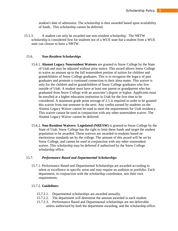student's date of admission. The scholarship is then awarded based upon availability of funds. This scholarship cannot be deferred.

15.5.3. A student can only be awarded one non-resident scholarship. The NRTW scholarship is considered first for students not of a WUE state but a student from a WUE state can choose to have a NRTW.

#### 15.6. *Non-Resident Scholarships*

- 15.6.1. **Alumni Legacy Nonresident Waivers** are granted to Snow College by the State of Utah and may be adjusted without prior notice. This award allows Snow College to waive an amount up to the full nonresident portion of tuition for children and grandchildren of Snow College graduates. This is to recognize the legacy of past graduates and promote a continued connection to their alma mater. This waiver is only for the children and/or grandchildren of Snow College graduates who live outside of Utah. A student must have at least one parent or grandparent who has graduated from Snow College with an associate's degree or higher. Applicants must be enrolled at a higher education institution in Utah for the first time to be considered. A minimum grade point average of 2.5 is required in order to be granted this waiver from one semester to the next. Any credits earned by students on the Alumni Legacy Waiver cannot be used to meet the requirements for Utah residency. This waiver cannot be used in conjunction with any other nonresident waiver. The Alumni Legacy Waiver cannot be deferred.
- 15.6.2. **Non-Resident Waivers- Legislated (NRESW)** is granted to Snow College by the State of Utah. Snow College has the right to limit these funds and target the student population to be awarded. These waivers are awarded to students based on meritorious standards set by the college. The amount of this award will be set by Snow College, and cannot be used in conjunction with any other nonresident waiver. This scholarship may be deferred if authorized by the Snow College scholarship office.

#### 15.7. *Performance Based and Departmental Scholarships*

15.7.1. Performance Based and Departmental Scholarships are awarded according to talent or excellence in specific areas and may require an audition or portfolio. Each department, in conjunction with the scholarship coordinator, sets their own requirements.

#### 15.7.2. **Guidelines:**

- 15.7.2.1. Departmental scholarships are awarded annually.
- 15.7.2.2. The department will determine the amount awarded to each student.
- 15.7.2.3. Performance Based and Departmental scholarships are not deferrable unless authorized by both the department awarding, and the scholarship office.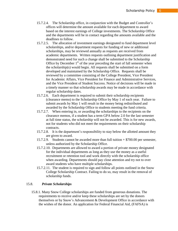- 15.7.2.4. The Scholarship office, in conjunction with the Budget and Controller's offices will determine the amount available for each department to award based on the interest earnings of College investments. The Scholarship Office and the departments will be in contact regarding the amounts available and the deadlines to follow.
- 15.7.2.5. The allocation of investment earnings designated to fund department level scholarships, and/or department requests for funding of new or additional scholarships, may be reviewed annually as requests are received from academic departments. Written requests outlining department justification and demonstrated need for such a change shall be submitted to the Scholarship Office by December  $1<sup>st</sup>$  of the year preceding the start of fall semester when the scholarship(s) would begin. All requests shall be submitted on a form developed and maintained by the Scholarship Office. Requests shall be reviewed by a committee consisting of the College President, Vice President for Academic Affairs, Vice President for Finance and Administrative Services, and the Vice President of Student Success. Notice of decisions will be made in a timely manner so that scholarship awards may be made in accordance with regular scholarship dates.
- 15.7.2.6. Each department is required to submit their scholarship recipients (clearance memo) to the Scholarship Office by May 1 of each year. Failure to submit awards by May 1 will result in the money being redistributed and awarded by the Scholarship Office to students meeting the fund criteria.
- 15.7.2.7. When entering in, or awarding the scholarships to the recipients on the clearance memos, if a student has a term GPA below 2.0 for the last semester at full time status, the scholarship will not be awarded. This is for new awards, not for students who did not meet the requirements on their scholarship contracts.
- 15.7.2.8. It is the department's responsibility to stay below the allotted amount they are given to award.
- 15.7.2.9. Students cannot be awarded more than full tuition + \$700.00 per semester, unless authorized by the Scholarship Office.
- 15.7.2.10. Departments are allowed to award a portion of private money designated for the individual departments as long as they use the money as a useful recruitment or retention tool and work directly with the scholarship office when awarding. Departments should pay close attention and try not to over award students who have multiple scholarships.
- 15.7.2.11. The student is required to sign and follow all points outlined in the Snow College Scholarship Contract. Failing to do so, may result in the removal of scholarship funds.

#### 15.8. *Private Scholarships*

15.8.1. Many Snow College scholarships are funded from generous donations. The requirements to receive and/or keep these scholarships are set by the donors themselves or by Snow's Advancement & Development Office in accordance with the wishes of the donor. An application for Federal Financial Aid, (FAFSA) is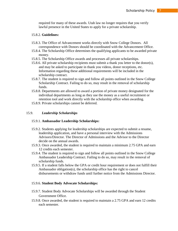required for many of these awards. Utah law no longer requires that you verify lawful presence in the United States to apply for a private scholarship.

#### 15.8.2. **Guidelines:**

- 15.8.3. The Office of Advancement works directly with Snow College Donors. All correspondence with Donors should be coordinated with the Advancement Office.
- 15.8.4. The Scholarship Office determines the qualifying applicants to be awarded private money.
- 15.8.5. The Scholarship Office awards and processes all private scholarships.
- 15.8.6. All private scholarship recipients must submit a thank you letter to the donor(s), and may be asked to participate in thank you videos, donor receptions, etc. Information regarding these additional requirements will be included in the scholarship contract.
- 15.8.7. The student is required to sign and follow all points outlined in the Snow College Scholarship Contract. Failing to do so, may result in the removal of scholarship funds.
- 15.8.8. Departments are allowed to award a portion of private money designated for the individual departments as long as they use the money as a useful recruitment or retention tool and work directly with the scholarship office when awarding.
- 15.8.9. Private scholarships cannot be deferred.

# 15.9. *Leadership Scholarships*

#### 15.9.1. **Ambassador Leadership Scholarships:**

- 15.9.2. Students applying for leadership scholarships are expected to submit a resume, leadership application, and have a personal interview with the Admissions Advisors/Director. The Director of Admissions and the Advisor to the Director decide on the annual awards.
- 15.9.3. Once awarded, the student is required to maintain a minimum 2.75 GPA and earn 12 credits each semester.
- 15.9.4. The student is required to sign and follow all points outlined in the Snow College Ambassador Leadership Contract. Failing to do so, may result in the removal of scholarship funds.
- 15.9.5. If a student falls below the GPA or credit hour requirement or does not fulfill their Ambassador obligation(s), the scholarship office has the right to cancel disbursements or withdraw funds until further notice from the Admissions Director.

#### 15.9.6. **Student Body Advocate Scholarships:**

- 15.9.7. Student Body Advocate Scholarships will be awarded through the Student Government Office.
- 15.9.8. Once awarded, the student is required to maintain a 2.75 GPA and earn 12 credits each semester.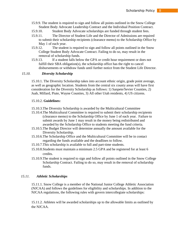- 15.9.9. The student is required to sign and follow all points outlined in the Snow College Student Body Advocate Leadership Contract and the Individual Position Contract.
- 15.9.10. Student Body Advocate scholarships are funded through student fees.
- 15.9.11. The Director of Student Life and the Director of Admissions are required to submit their scholarship recipients (clearance memo) to the Scholarship Office by May 1 of each year.
- 15.9.12. The student is required to sign and follow all points outlined in the Snow College Student Body Advocate Contract. Failing to do so, may result in the removal of scholarship funds.
- 15.9.13. If a student falls below the GPA or credit hour requirement or does not fulfill their SBA obligation(s), the scholarship office has the right to cancel disbursements or withdraw funds until further notice from the Student Life Director.

#### *15.10. Diversity Scholarship*

15.10.1. The Diversity Scholarship takes into account ethnic origin, grade point average, as well as geographic location. Students from the central six county areas will have first consideration for the Diversity Scholarship as follows: 1) Sanpete/Sevier Counties, 2) Juab, Millard, Piute, Wayne Counties, 3) All other Utah residents, 4) US citizens.

#### 15.10.2. **Guidelines:**

- 15.10.3.The Diversity Scholarship is awarded by the Multicultural Committee
- 15.10.4.The Multicultural Committee is required to submit their scholarship recipients (clearance memo) to the Scholarship Office by June 1 of each year. Failure to submit awards by June 1 may result in the money being redistributed and awarded by the Scholarship Office to students meeting the fund criteria.
- 15.10.5.The Budget Director will determine annually the amount available for the Diversity Scholarship.
- 15.10.6.The Scholarship Office and the Multicultural Committee will be in contact regarding the funds available and the deadlines to follow.
- 15.10.7.This scholarship is available to full and part-time students.
- 15.10.8.Students must maintain a minimum 2.5 GPA and be registered for at least 6 credits.
- 15.10.9.The student is required to sign and follow all points outlined in the Snow College Scholarship Contract. Failing to do so, may result in the removal of scholarship funds.

# *15.11. Athletic Scholarships*

15.11.1. Snow College is a member of the National Junior College Athletic Association (NJCAA) and follows the guidelines for eligibility and scholarships. In addition to the NJCAA regulations, the following rules with govern intercollegiate scholarships:

15.11.2. Athletes will be awarded scholarships up to the allowable limits as outlined by the NJCAA.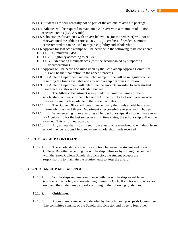- 15.11.3. Student Fees will generally not be part of the athletic-related aid package.
- 15.11.4. Athletes will be required to maintain a 2.0 GPA with a minimum of 12 nonrepeated credits (NJCAA rule).
- 15.11.5.Scholarships for athletes with a GPA below 2.0 (for the semester) will not be renewed until the athlete earns a 2.0 GPA (12 credits). If needed, summer semester credits can be used to regain eligibility and scholarship.
- 15.11.6.Appeals for lost scholarships will be heard with the following to be considered: 15.11.6.1. Cumulative GPA
	- 15.11.6.2. Eligibility according to NJCAA
	- 15.11.6.3. Extenuating circumstances (must be accompanied by supporting documentation)
- 15.11.7.Appeals will be heard and ruled upon by the Scholarship Appeals Committee. This will be the final option in the appeals process.
- 15.11.8.The Athletic Department and the Scholarship Office will be in regular contact regarding the funds available and any scholarship deadlines to follow.
- 15.11.9.The Athletic Department will determine the amounts awarded to each student based on the authorized scholarship budget.
- 15.11.10. The Athletic Department is required to submit the names of their scholarship recipients to the Scholarship Office by July 1 of each year, or when the awards are made available to the student athletes.
- 15.11.11. The Budget Office will determine annually the funds available to award. Ultimately, it is the Athletic Department's responsibility to stay within budget.
- 15.11.12. When entering in, or awarding athletic scholarships, if a student has a term GPA below 2.0 for the last semester at full time status, the scholarship will not be awarded. This is for new awards.
- 15.11.13. Any athlete that is dismissed from a team or is mandated to withdraw from school may be responsible to repay any scholarship funds received.

#### 15.12. **SCHOLARSHIP CONTRACT**

15.12.1. The scholarship contract is a contract between the student and Snow College. By either accepting the scholarship online or by signing the contract with the Snow College Scholarship Director, the student accepts the responsibility to maintain the requirements to keep the award.

#### 15.13. **SCHOLARSHIP APPEAL PROCESS**

15.13.1. Scholarships require compliance with the scholarship award letter (contract), this Policy and maintaining minimum GPA. If a scholarship is lost or revoked, the student may appeal according to the following guidelines.

#### 15.13.2. **Guidelines:**

15.13.3. Appeals are reviewed and decided by the Scholarship Appeals Committee. The committee consists of the Scholarship Director and three to four other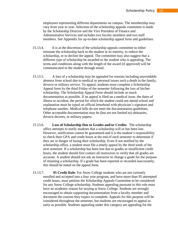employees representing different departments on campus. The membership may vary from year to year. Selection of the scholarship appeals committee is made by the Scholarship Director and the Vice President of Finance and Administrative Services and includes two faculty members and two staff members. See Appendix for up-to-date scholarship appeal form and guidelines.

- 15.13.4. It is at the discretion of the scholarship appeals committee to either reinstate the scholarship back to the student in its entirety, to reduce the scholarship, or to decline the appeal. The committee may also suggest that a different type of scholarship be awarded to the student who is appealing. The terms and conditions along with the length of the award (if approved) will be communicated to the student through email.
- 15.13.5. A loss of a scholarship may be appealed for reasons including unavoidable absence from school due to medical or personal issues such a death in the family, divorce or military service. To appeal, students must complete a Scholarship Appeal form by the third Friday of the semester following the loss of his/her scholarship. The Scholarship Appeal Form should include as much documentation as possible. If an appeal is filed on a medical issue, the dates of illness or accident, the period for which the student could not attend school and explanation must be typed on official letterhead with physician's signature and telephone number. Medical bills do not meet the documentation guidelines. Other acceptable documentation may be (but are not limited to) obituaries, divorce decrees, or military papers.
- 15.13.6. **Loss of Scholarship Due to Grades and/or Credits**: The scholarship office attempts to notify students that a scholarship will or has been lost. However, notification cannot be guaranteed and it is the student's responsibility to check their GPA and credit hours at the end of each semester to determine if they are in danger of losing their scholarship. Even if not notified by the scholarship office, a student must file a timely appeal by the third week of the next semester. If a scholarship has been lost due to grades or insufficient credit hours, the student should first contact all instructors to verify that all grades are accurate. A student should not ask an instructor to change a grade for the purpose of retaining a scholarship. If a grade has been reported or recorded inaccurately, this should be noted on the appeal form.
- 15.13.7. **95 Credit Rule**: For Snow College students who are not currently enrolled and accepted into a four year program, and have more than 95 attempted credit hours, must petition the Scholarship Appeals Committee to be considered for any Snow College scholarship. Students appealing pursuant to this rule must have an academic reason for staying at Snow College. Students are strongly encouraged to obtain supporting documentation from a faculty member and document the courses they expect to complete. Appeals for this purpose will be considered throughout the semester, but students are encouraged to appeal as early as possible. Students appealing under this category are appealing for the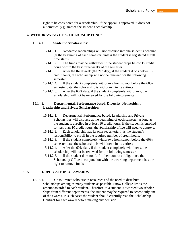right to be considered for a scholarship. If the appeal is approved, it does not automatically guarantee the student a scholarship.

#### 15.14. **WITHDRAWING OF SCHOLARSHIP FUNDS**

#### 15.14.1. **Academic Scholarships:**

- 15.14.1.1. Academic scholarships will not disburse into the student's account (at the beginning of each semester) unless the student is registered at full time status.
- 15.14.1.2. The funds may be withdrawn if the student drops below 15 credit hours within the first three weeks of the semester.
- 15.14.1.3. After the third week (the  $21<sup>st</sup>$  day), if the student drops below 15 credit hours, the scholarship will not be renewed for the following semester.
- 15.14.1.4. If the student completely withdraws from school before the 60% semester date, the scholarship is withdrawn in its entirety.
- 15.14.1.5. After the 60% date, if the student completely withdraws, the scholarship will not be renewed for the following semester.

# 15.14.2. **Departmental, Performance based, Diversity, Nonresident, Leadership and Private Scholarships:**

- 15.14.2.1. Departmental, Performance based, Leadership and Private Scholarships will disburse at the beginning of each semester as long as the student is enrolled in at least 10 credit hours. If the student is enrolled for less than 10 credit hours, the Scholarship office will need to approve.
- 15.14.2.2. Each scholarship has its own set criteria. It is the student's responsibility to enroll in the required number of credit hours.
- 15.14.2.3. If the student completely withdraws from school before the 60% semester date, the scholarship is withdrawn in its entirety.
- 15.14.2.4. After the 60% date, if the student completely withdraws, the scholarship will not be renewed for the following semester.
- 15.14.2.5. If the student does not fulfill their contract obligations, the Scholarship Office in conjunction with the awarding department has the right to remove funds.

#### 15.15. **DUPLICATION OF AWARDS**

15.15.1. Due to limited scholarship resources and the need to distribute scholarships among as many students as possible, Snow College limits the amount awarded to each student. Therefore, if a student is awarded two scholarships from different departments, the student may be required to accept only one of the awards. In such cases the student should carefully read the Scholarship Contract for each award before making any decision.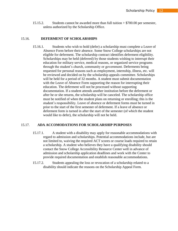15.15.2. Students cannot be awarded more than full tuition + \$700.00 per semester, unless authorized by the Scholarship Office.

#### 15.16. **DEFERMENT OF SCHOLARSHIPS**

15.16.1. Students who wish to hold (defer) a scholarship must complete a Leave of Absence Form before their absence. Some Snow College scholarships are not eligible for deferment. The scholarship contract identifies deferment eligibility. Scholarships may be held (deferred) by those students wishing to interrupt their education for military service, medical reasons, or organized service programs through the student's church, community or government. Deferments being requested for personal reasons such as employment, internship, illness, etc. will be reviewed and decided on by the scholarship appeals committee. Scholarships will be held for a period of 32 months. A student must submit documentation with the Leave of Absence Form supporting the reason for interrupting their education. The deferment will not be processed without supporting documentation. If a student attends another institution before the deferment or after he or she returns, the scholarship will be canceled. The scholarship office must be notified of when the student plans on returning or enrolling; this is the student's responsibility. Leave of absence or deferment forms must be turned in prior to the start of the first semester of deferment. If a leave of absence or deferment form is turned in after the start of the semester (of which the student would like to defer), the scholarship will not be held.

#### 15.17. **ADA ACCOMODATIONS FOR SCHOLARSHIP PURPOSES**

- 15.17.1. A student with a disability may apply for reasonable accommodations with regard to admission and scholarships. Potential accommodations include, but are not limited to, waiving the required ACT scores or course loads required to retain a scholarship. A student who believes they have a qualifying disability should contact the Snow College Accessibility Resource Center well in advance of admission and scholarship application deadlines and work with the Center to provide required documentation and establish reasonable accommodations.
- 15.17.2. Students appealing the loss or revocation of a scholarship related to a disability should indicate the reasons on the Scholarship Appeal Form.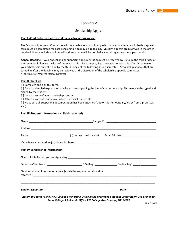# Appendix A

# Scholarship Appeal

#### **Part I What to know before making a scholarship appeal**

The Scholarship Appeals Committee will only review scholarship appeals that are complete. A scholarship appeal form must be completed for each scholarship you may be appealing. Typically, appeals are reviewed in the order received. Please include a valid email address as you will be notified via email regarding the appeal results.

**Appeal Deadline:** Your appeal and all supporting documentation must be received by 5:00p.m the third Friday of the semester following the loss of the scholarship. For example, if you lose your scholarship after fall semester, your scholarship appeal is due by the third Friday of the following spring semester. Scholarship appeals that are turned in after the deadline may be reviewed at the discretion of the scholarship appeals committee. \* *See attachment for documentation definitions*.

#### **Part II Checklist**

[ ] Complete and sign this form.

[ ] Attach a detailed explanation of why you are appealing the loss of your scholarship. This needs to be typed and signed by the student.

[ ] Attach a copy of your scholarship contract.

[] Attach a copy of your Snow College unofficial transcripts.

[ ] Make sure all supporting documentation has been attached (Doctor's letter, obituary, letter from a professor, etc.).

#### **Part III Student Information** (all fields required)

| <b>Part IV Scholarship Information</b>                                                                       |  |  |  |
|--------------------------------------------------------------------------------------------------------------|--|--|--|
|                                                                                                              |  |  |  |
| Semester/Year Issued:___________________________GPA Req'd_______________Credits Req'd_______________         |  |  |  |
| Short summary of reason for appeal (a detailed explanation should be                                         |  |  |  |
|                                                                                                              |  |  |  |
| Return this form to the Snow College Scholarship Office in the Greenwood Student Center Room 205 or mail to: |  |  |  |

*Snow College Scholarship Office 150 College Ave Ephraim, UT 84627*

*March, 2016*